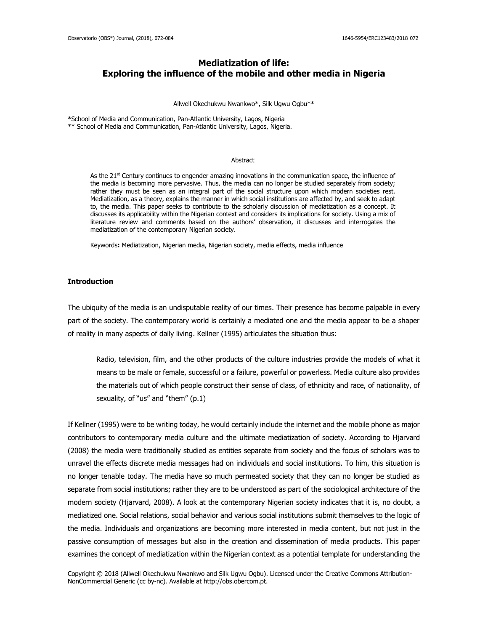# **Mediatization of life: Exploring the influence of the mobile and other media in Nigeria**

#### Allwell Okechukwu Nwankwo\*, Silk Ugwu Ogbu\*\*

\*School of Media and Communication, Pan-Atlantic University, Lagos, Nigeria \*\* School of Media and Communication, Pan-Atlantic University, Lagos, Nigeria.

#### Abstract

As the  $21<sup>st</sup>$  Century continues to engender amazing innovations in the communication space, the influence of the media is becoming more pervasive. Thus, the media can no longer be studied separately from society; rather they must be seen as an integral part of the social structure upon which modern societies rest. Mediatization, as a theory, explains the manner in which social institutions are affected by, and seek to adapt to, the media. This paper seeks to contribute to the scholarly discussion of mediatization as a concept. It discusses its applicability within the Nigerian context and considers its implications for society. Using a mix of literature review and comments based on the authors' observation, it discusses and interrogates the mediatization of the contemporary Nigerian society.

Keywords**:** Mediatization, Nigerian media, Nigerian society, media effects, media influence

### **Introduction**

The ubiquity of the media is an undisputable reality of our times. Their presence has become palpable in every part of the society. The contemporary world is certainly a mediated one and the media appear to be a shaper of reality in many aspects of daily living. Kellner (1995) articulates the situation thus:

Radio, television, film, and the other products of the culture industries provide the models of what it means to be male or female, successful or a failure, powerful or powerless. Media culture also provides the materials out of which people construct their sense of class, of ethnicity and race, of nationality, of sexuality, of "us" and "them" (p.1)

If Kellner (1995) were to be writing today, he would certainly include the internet and the mobile phone as major contributors to contemporary media culture and the ultimate mediatization of society. According to Hjarvard (2008) the media were traditionally studied as entities separate from society and the focus of scholars was to unravel the effects discrete media messages had on individuals and social institutions. To him, this situation is no longer tenable today. The media have so much permeated society that they can no longer be studied as separate from social institutions; rather they are to be understood as part of the sociological architecture of the modern society (Hjarvard, 2008). A look at the contemporary Nigerian society indicates that it is, no doubt, a mediatized one. Social relations, social behavior and various social institutions submit themselves to the logic of the media. Individuals and organizations are becoming more interested in media content, but not just in the passive consumption of messages but also in the creation and dissemination of media products. This paper examines the concept of mediatization within the Nigerian context as a potential template for understanding the

Copyright © 2018 (Allwell Okechukwu Nwankwo and Silk Ugwu Ogbu). Licensed under the Creative Commons Attribution-NonCommercial Generic (cc by-nc). Available at http://obs.obercom.pt.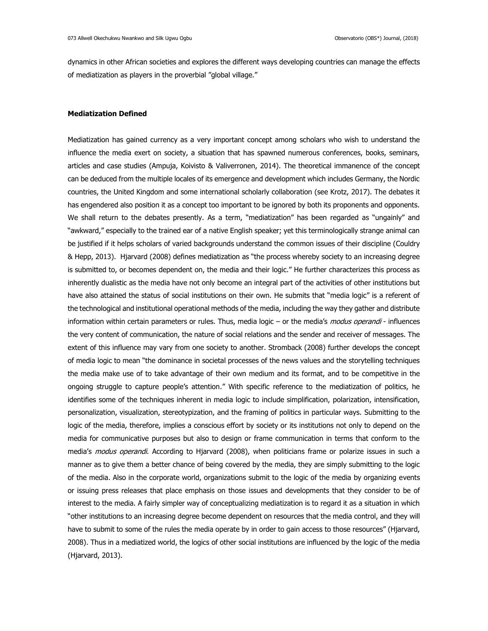dynamics in other African societies and explores the different ways developing countries can manage the effects of mediatization as players in the proverbial "global village."

# **Mediatization Defined**

Mediatization has gained currency as a very important concept among scholars who wish to understand the influence the media exert on society, a situation that has spawned numerous conferences, books, seminars, articles and case studies (Ampuja, Koivisto & Valiverronen, 2014). The theoretical immanence of the concept can be deduced from the multiple locales of its emergence and development which includes Germany, the Nordic countries, the United Kingdom and some international scholarly collaboration (see Krotz, 2017). The debates it has engendered also position it as a concept too important to be ignored by both its proponents and opponents. We shall return to the debates presently. As a term, "mediatization" has been regarded as "ungainly" and "awkward," especially to the trained ear of a native English speaker; yet this terminologically strange animal can be justified if it helps scholars of varied backgrounds understand the common issues of their discipline (Couldry & Hepp, 2013). Hjarvard (2008) defines mediatization as "the process whereby society to an increasing degree is submitted to, or becomes dependent on, the media and their logic." He further characterizes this process as inherently dualistic as the media have not only become an integral part of the activities of other institutions but have also attained the status of social institutions on their own. He submits that "media logic" is a referent of the technological and institutional operational methods of the media, including the way they gather and distribute information within certain parameters or rules. Thus, media logic – or the media's *modus operandi* - influences the very content of communication, the nature of social relations and the sender and receiver of messages. The extent of this influence may vary from one society to another. Stromback (2008) further develops the concept of media logic to mean "the dominance in societal processes of the news values and the storytelling techniques the media make use of to take advantage of their own medium and its format, and to be competitive in the ongoing struggle to capture people's attention." With specific reference to the mediatization of politics, he identifies some of the techniques inherent in media logic to include simplification, polarization, intensification, personalization, visualization, stereotypization, and the framing of politics in particular ways. Submitting to the logic of the media, therefore, implies a conscious effort by society or its institutions not only to depend on the media for communicative purposes but also to design or frame communication in terms that conform to the media's modus operandi. According to Hjarvard (2008), when politicians frame or polarize issues in such a manner as to give them a better chance of being covered by the media, they are simply submitting to the logic of the media. Also in the corporate world, organizations submit to the logic of the media by organizing events or issuing press releases that place emphasis on those issues and developments that they consider to be of interest to the media. A fairly simpler way of conceptualizing mediatization is to regard it as a situation in which "other institutions to an increasing degree become dependent on resources that the media control, and they will have to submit to some of the rules the media operate by in order to gain access to those resources" (Hjarvard, 2008). Thus in a mediatized world, the logics of other social institutions are influenced by the logic of the media (Hjarvard, 2013).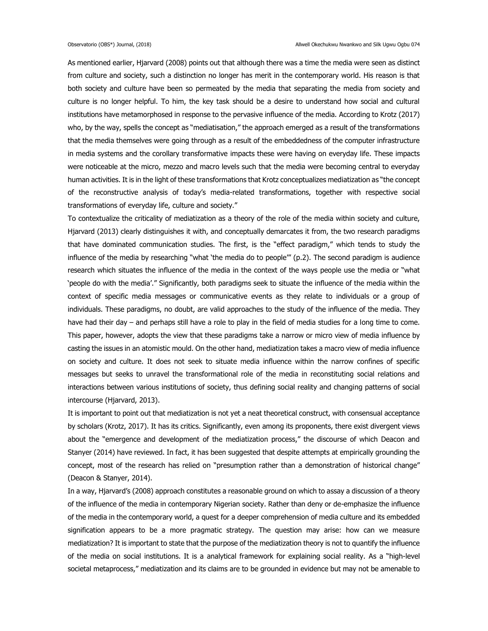As mentioned earlier, Hjarvard (2008) points out that although there was a time the media were seen as distinct from culture and society, such a distinction no longer has merit in the contemporary world. His reason is that both society and culture have been so permeated by the media that separating the media from society and culture is no longer helpful. To him, the key task should be a desire to understand how social and cultural institutions have metamorphosed in response to the pervasive influence of the media. According to Krotz (2017) who, by the way, spells the concept as "mediatisation," the approach emerged as a result of the transformations that the media themselves were going through as a result of the embeddedness of the computer infrastructure in media systems and the corollary transformative impacts these were having on everyday life. These impacts were noticeable at the micro, mezzo and macro levels such that the media were becoming central to everyday human activities. It is in the light of these transformations that Krotz conceptualizes mediatization as "the concept of the reconstructive analysis of today's media-related transformations, together with respective social transformations of everyday life, culture and society."

To contextualize the criticality of mediatization as a theory of the role of the media within society and culture, Hjarvard (2013) clearly distinguishes it with, and conceptually demarcates it from, the two research paradigms that have dominated communication studies. The first, is the "effect paradigm," which tends to study the influence of the media by researching "what 'the media do to people'" (p.2). The second paradigm is audience research which situates the influence of the media in the context of the ways people use the media or "what 'people do with the media'." Significantly, both paradigms seek to situate the influence of the media within the context of specific media messages or communicative events as they relate to individuals or a group of individuals. These paradigms, no doubt, are valid approaches to the study of the influence of the media. They have had their day – and perhaps still have a role to play in the field of media studies for a long time to come. This paper, however, adopts the view that these paradigms take a narrow or micro view of media influence by casting the issues in an atomistic mould. On the other hand, mediatization takes a macro view of media influence on society and culture. It does not seek to situate media influence within the narrow confines of specific messages but seeks to unravel the transformational role of the media in reconstituting social relations and interactions between various institutions of society, thus defining social reality and changing patterns of social intercourse (Hjarvard, 2013).

It is important to point out that mediatization is not yet a neat theoretical construct, with consensual acceptance by scholars (Krotz, 2017). It has its critics. Significantly, even among its proponents, there exist divergent views about the "emergence and development of the mediatization process," the discourse of which Deacon and Stanyer (2014) have reviewed. In fact, it has been suggested that despite attempts at empirically grounding the concept, most of the research has relied on "presumption rather than a demonstration of historical change" (Deacon & Stanyer, 2014).

In a way, Hjarvard's (2008) approach constitutes a reasonable ground on which to assay a discussion of a theory of the influence of the media in contemporary Nigerian society. Rather than deny or de-emphasize the influence of the media in the contemporary world, a quest for a deeper comprehension of media culture and its embedded signification appears to be a more pragmatic strategy. The question may arise: how can we measure mediatization? It is important to state that the purpose of the mediatization theory is not to quantify the influence of the media on social institutions. It is a analytical framework for explaining social reality. As a "high-level societal metaprocess," mediatization and its claims are to be grounded in evidence but may not be amenable to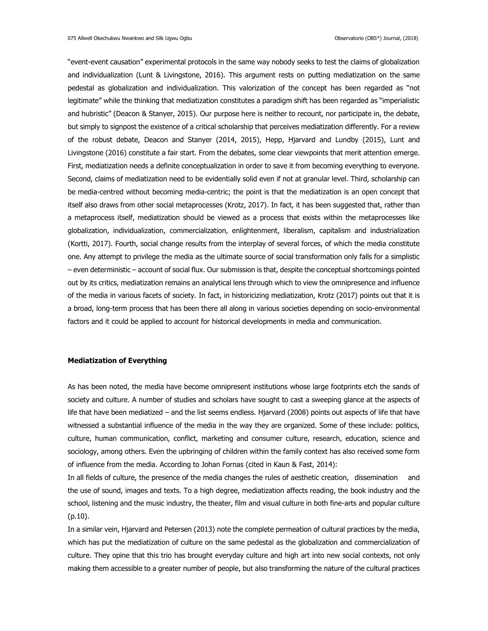"event-event causation" experimental protocols in the same way nobody seeks to test the claims of globalization and individualization (Lunt & Livingstone, 2016). This argument rests on putting mediatization on the same pedestal as globalization and individualization. This valorization of the concept has been regarded as "not legitimate" while the thinking that mediatization constitutes a paradigm shift has been regarded as "imperialistic and hubristic" (Deacon & Stanyer, 2015). Our purpose here is neither to recount, nor participate in, the debate, but simply to signpost the existence of a critical scholarship that perceives mediatization differently. For a review of the robust debate, Deacon and Stanyer (2014, 2015), Hepp, Hjarvard and Lundby (2015), Lunt and Livingstone (2016) constitute a fair start. From the debates, some clear viewpoints that merit attention emerge. First, mediatization needs a definite conceptualization in order to save it from becoming everything to everyone. Second, claims of mediatization need to be evidentially solid even if not at granular level. Third, scholarship can be media-centred without becoming media-centric; the point is that the mediatization is an open concept that itself also draws from other social metaprocesses (Krotz, 2017). In fact, it has been suggested that, rather than a metaprocess itself, mediatization should be viewed as a process that exists within the metaprocesses like globalization, individualization, commercialization, enlightenment, liberalism, capitalism and industrialization (Kortti, 2017). Fourth, social change results from the interplay of several forces, of which the media constitute one. Any attempt to privilege the media as the ultimate source of social transformation only falls for a simplistic – even deterministic – account of social flux. Our submission is that, despite the conceptual shortcomings pointed out by its critics, mediatization remains an analytical lens through which to view the omnipresence and influence of the media in various facets of society. In fact, in historicizing mediatization, Krotz (2017) points out that it is a broad, long-term process that has been there all along in various societies depending on socio-environmental factors and it could be applied to account for historical developments in media and communication.

### **Mediatization of Everything**

As has been noted, the media have become omnipresent institutions whose large footprints etch the sands of society and culture. A number of studies and scholars have sought to cast a sweeping glance at the aspects of life that have been mediatized – and the list seems endless. Hjarvard (2008) points out aspects of life that have witnessed a substantial influence of the media in the way they are organized. Some of these include: politics, culture, human communication, conflict, marketing and consumer culture, research, education, science and sociology, among others. Even the upbringing of children within the family context has also received some form of influence from the media. According to Johan Fornas (cited in Kaun & Fast, 2014):

In all fields of culture, the presence of the media changes the rules of aesthetic creation, dissemination and the use of sound, images and texts. To a high degree, mediatization affects reading, the book industry and the school, listening and the music industry, the theater, film and visual culture in both fine-arts and popular culture (p.10).

In a similar vein, Hjarvard and Petersen (2013) note the complete permeation of cultural practices by the media, which has put the mediatization of culture on the same pedestal as the globalization and commercialization of culture. They opine that this trio has brought everyday culture and high art into new social contexts, not only making them accessible to a greater number of people, but also transforming the nature of the cultural practices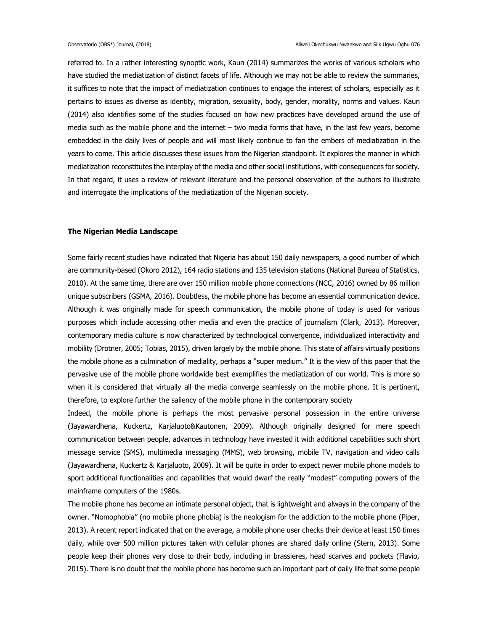referred to. In a rather interesting synoptic work, Kaun (2014) summarizes the works of various scholars who have studied the mediatization of distinct facets of life. Although we may not be able to review the summaries, it suffices to note that the impact of mediatization continues to engage the interest of scholars, especially as it pertains to issues as diverse as identity, migration, sexuality, body, gender, morality, norms and values. Kaun (2014) also identifies some of the studies focused on how new practices have developed around the use of media such as the mobile phone and the internet – two media forms that have, in the last few years, become embedded in the daily lives of people and will most likely continue to fan the embers of mediatization in the years to come. This article discusses these issues from the Nigerian standpoint. It explores the manner in which mediatization reconstitutes the interplay of the media and other social institutions, with consequences for society. In that regard, it uses a review of relevant literature and the personal observation of the authors to illustrate and interrogate the implications of the mediatization of the Nigerian society.

# **The Nigerian Media Landscape**

Some fairly recent studies have indicated that Nigeria has about 150 daily newspapers, a good number of which are community-based (Okoro 2012), 164 radio stations and 135 television stations (National Bureau of Statistics, 2010). At the same time, there are over 150 million mobile phone connections (NCC, 2016) owned by 86 million unique subscribers (GSMA, 2016). Doubtless, the mobile phone has become an essential communication device. Although it was originally made for speech communication, the mobile phone of today is used for various purposes which include accessing other media and even the practice of journalism (Clark, 2013). Moreover, contemporary media culture is now characterized by technological convergence, individualized interactivity and mobility (Drotner, 2005; Tobias, 2015), driven largely by the mobile phone. This state of affairs virtually positions the mobile phone as a culmination of mediality, perhaps a "super medium." It is the view of this paper that the pervasive use of the mobile phone worldwide best exemplifies the mediatization of our world. This is more so when it is considered that virtually all the media converge seamlessly on the mobile phone. It is pertinent, therefore, to explore further the saliency of the mobile phone in the contemporary society

Indeed, the mobile phone is perhaps the most pervasive personal possession in the entire universe (Jayawardhena, Kuckertz, Karjaluoto&Kautonen, 2009). Although originally designed for mere speech communication between people, advances in technology have invested it with additional capabilities such short message service (SMS), multimedia messaging (MMS), web browsing, mobile TV, navigation and video calls (Jayawardhena, Kuckertz & Karjaluoto, 2009). It will be quite in order to expect newer mobile phone models to sport additional functionalities and capabilities that would dwarf the really "modest" computing powers of the mainframe computers of the 1980s.

The mobile phone has become an intimate personal object, that is lightweight and always in the company of the owner. "Nomophobia" (no mobile phone phobia) is the neologism for the addiction to the mobile phone (Piper, 2013). A recent report indicated that on the average, a mobile phone user checks their device at least 150 times daily, while over 500 million pictures taken with cellular phones are shared daily online (Stern, 2013). Some people keep their phones very close to their body, including in brassieres, head scarves and pockets (Flavio, 2015). There is no doubt that the mobile phone has become such an important part of daily life that some people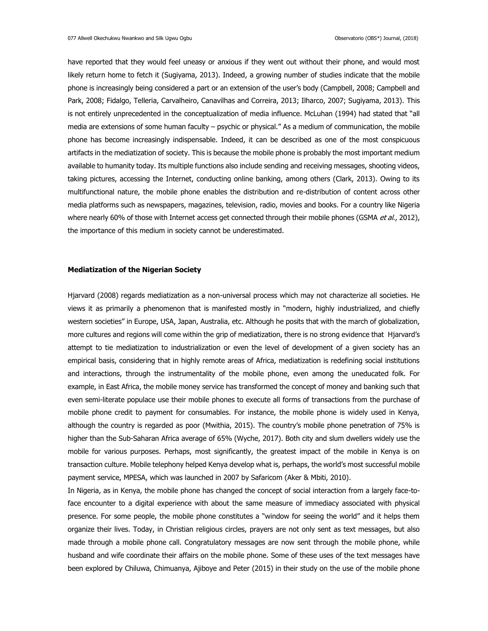have reported that they would feel uneasy or anxious if they went out without their phone, and would most likely return home to fetch it (Sugiyama, 2013). Indeed, a growing number of studies indicate that the mobile phone is increasingly being considered a part or an extension of the user's body (Campbell, 2008; Campbell and Park, 2008; Fidalgo, Telleria, Carvalheiro, Canavilhas and Correira, 2013; Ilharco, 2007; Sugiyama, 2013). This is not entirely unprecedented in the conceptualization of media influence. McLuhan (1994) had stated that "all media are extensions of some human faculty – psychic or physical." As a medium of communication, the mobile phone has become increasingly indispensable. Indeed, it can be described as one of the most conspicuous artifacts in the mediatization of society. This is because the mobile phone is probably the most important medium available to humanity today. Its multiple functions also include sending and receiving messages, shooting videos, taking pictures, accessing the Internet, conducting online banking, among others (Clark, 2013). Owing to its multifunctional nature, the mobile phone enables the distribution and re-distribution of content across other media platforms such as newspapers, magazines, television, radio, movies and books. For a country like Nigeria where nearly 60% of those with Internet access get connected through their mobile phones (GSMA et al., 2012), the importance of this medium in society cannot be underestimated.

### **Mediatization of the Nigerian Society**

Hjarvard (2008) regards mediatization as a non-universal process which may not characterize all societies. He views it as primarily a phenomenon that is manifested mostly in "modern, highly industrialized, and chiefly western societies" in Europe, USA, Japan, Australia, etc. Although he posits that with the march of globalization, more cultures and regions will come within the grip of mediatization, there is no strong evidence that Hjarvard's attempt to tie mediatization to industrialization or even the level of development of a given society has an empirical basis, considering that in highly remote areas of Africa, mediatization is redefining social institutions and interactions, through the instrumentality of the mobile phone, even among the uneducated folk. For example, in East Africa, the mobile money service has transformed the concept of money and banking such that even semi-literate populace use their mobile phones to execute all forms of transactions from the purchase of mobile phone credit to payment for consumables. For instance, the mobile phone is widely used in Kenya, although the country is regarded as poor (Mwithia, 2015). The country's mobile phone penetration of 75% is higher than the Sub-Saharan Africa average of 65% (Wyche, 2017). Both city and slum dwellers widely use the mobile for various purposes. Perhaps, most significantly, the greatest impact of the mobile in Kenya is on transaction culture. Mobile telephony helped Kenya develop what is, perhaps, the world's most successful mobile payment service, MPESA, which was launched in 2007 by Safaricom (Aker & Mbiti, 2010).

In Nigeria, as in Kenya, the mobile phone has changed the concept of social interaction from a largely face-toface encounter to a digital experience with about the same measure of immediacy associated with physical presence. For some people, the mobile phone constitutes a "window for seeing the world" and it helps them organize their lives. Today, in Christian religious circles, prayers are not only sent as text messages, but also made through a mobile phone call. Congratulatory messages are now sent through the mobile phone, while husband and wife coordinate their affairs on the mobile phone. Some of these uses of the text messages have been explored by Chiluwa, Chimuanya, Ajiboye and Peter (2015) in their study on the use of the mobile phone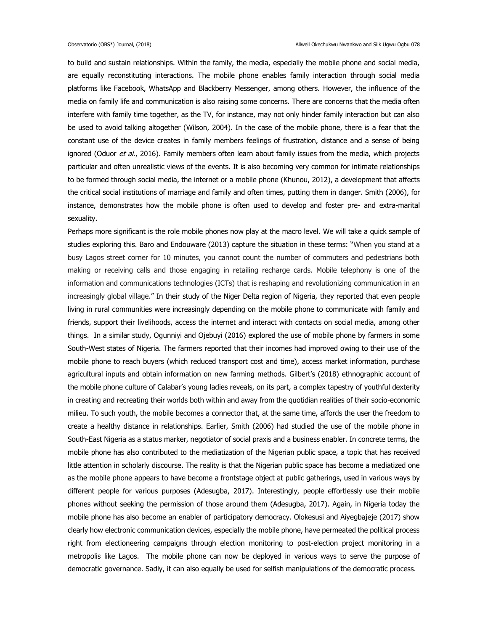to build and sustain relationships. Within the family, the media, especially the mobile phone and social media, are equally reconstituting interactions. The mobile phone enables family interaction through social media platforms like Facebook, WhatsApp and Blackberry Messenger, among others. However, the influence of the media on family life and communication is also raising some concerns. There are concerns that the media often interfere with family time together, as the TV, for instance, may not only hinder family interaction but can also be used to avoid talking altogether (Wilson, 2004). In the case of the mobile phone, there is a fear that the constant use of the device creates in family members feelings of frustration, distance and a sense of being ignored (Oduor et al., 2016). Family members often learn about family issues from the media, which projects particular and often unrealistic views of the events. It is also becoming very common for intimate relationships to be formed through social media, the internet or a mobile phone (Khunou, 2012), a development that affects the critical social institutions of marriage and family and often times, putting them in danger. Smith (2006), for instance, demonstrates how the mobile phone is often used to develop and foster pre- and extra-marital sexuality.

Perhaps more significant is the role mobile phones now play at the macro level. We will take a quick sample of studies exploring this. Baro and Endouware (2013) capture the situation in these terms: "When you stand at a busy Lagos street corner for 10 minutes, you cannot count the number of commuters and pedestrians both making or receiving calls and those engaging in retailing recharge cards. Mobile telephony is one of the information and communications technologies (ICTs) that is reshaping and revolutionizing communication in an increasingly global village." In their study of the Niger Delta region of Nigeria, they reported that even people living in rural communities were increasingly depending on the mobile phone to communicate with family and friends, support their livelihoods, access the internet and interact with contacts on social media, among other things. In a similar study, Ogunniyi and Ojebuyi (2016) explored the use of mobile phone by farmers in some South-West states of Nigeria. The farmers reported that their incomes had improved owing to their use of the mobile phone to reach buyers (which reduced transport cost and time), access market information, purchase agricultural inputs and obtain information on new farming methods. Gilbert's (2018) ethnographic account of the mobile phone culture of Calabar's young ladies reveals, on its part, a complex tapestry of youthful dexterity in creating and recreating their worlds both within and away from the quotidian realities of their socio-economic milieu. To such youth, the mobile becomes a connector that, at the same time, affords the user the freedom to create a healthy distance in relationships. Earlier, Smith (2006) had studied the use of the mobile phone in South-East Nigeria as a status marker, negotiator of social praxis and a business enabler. In concrete terms, the mobile phone has also contributed to the mediatization of the Nigerian public space, a topic that has received little attention in scholarly discourse. The reality is that the Nigerian public space has become a mediatized one as the mobile phone appears to have become a frontstage object at public gatherings, used in various ways by different people for various purposes (Adesugba, 2017). Interestingly, people effortlessly use their mobile phones without seeking the permission of those around them (Adesugba, 2017). Again, in Nigeria today the mobile phone has also become an enabler of participatory democracy. Olokesusi and Aiyegbajeje (2017) show clearly how electronic communication devices, especially the mobile phone, have permeated the political process right from electioneering campaigns through election monitoring to post-election project monitoring in a metropolis like Lagos. The mobile phone can now be deployed in various ways to serve the purpose of democratic governance. Sadly, it can also equally be used for selfish manipulations of the democratic process.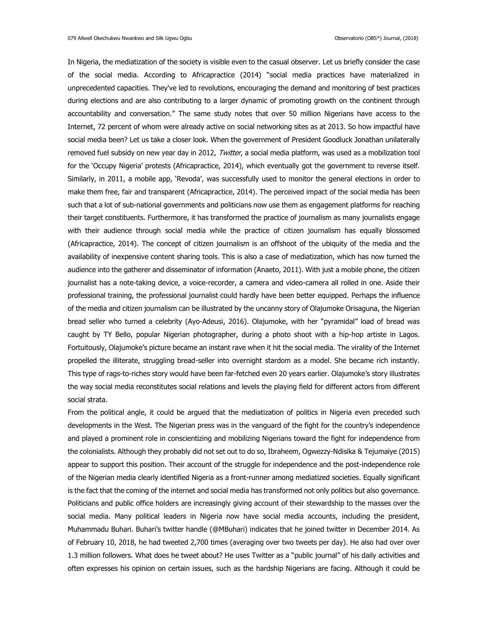In Nigeria, the mediatization of the society is visible even to the casual observer. Let us briefly consider the case of the social media. According to Africapractice (2014) "social media practices have materialized in unprecedented capacities. They've led to revolutions, encouraging the demand and monitoring of best practices during elections and are also contributing to a larger dynamic of promoting growth on the continent through accountability and conversation." The same study notes that over 50 million Nigerians have access to the Internet, 72 percent of whom were already active on social networking sites as at 2013. So how impactful have social media been? Let us take a closer look. When the government of President Goodluck Jonathan unilaterally removed fuel subsidy on new year day in 2012, Twitter, a social media platform, was used as a mobilization tool for the 'Occupy Nigeria' protests (Africapractice, 2014), which eventually got the government to reverse itself. Similarly, in 2011, a mobile app, 'Revoda', was successfully used to monitor the general elections in order to make them free, fair and transparent (Africapractice, 2014). The perceived impact of the social media has been such that a lot of sub-national governments and politicians now use them as engagement platforms for reaching their target constituents. Furthermore, it has transformed the practice of journalism as many journalists engage with their audience through social media while the practice of citizen journalism has equally blossomed (Africapractice, 2014). The concept of citizen journalism is an offshoot of the ubiquity of the media and the availability of inexpensive content sharing tools. This is also a case of mediatization, which has now turned the audience into the gatherer and disseminator of information (Anaeto, 2011). With just a mobile phone, the citizen journalist has a note-taking device, a voice-recorder, a camera and video-camera all rolled in one. Aside their professional training, the professional journalist could hardly have been better equipped. Perhaps the influence of the media and citizen journalism can be illustrated by the uncanny story of Olajumoke Orisaguna, the Nigerian bread seller who turned a celebrity (Ayo-Adeusi, 2016). Olajumoke, with her "pyramidal" load of bread was caught by TY Bello, popular Nigerian photographer, during a photo shoot with a hip-hop artiste in Lagos. Fortuitously, Olajumoke's picture became an instant rave when it hit the social media. The virality of the Internet propelled the illiterate, struggling bread-seller into overnight stardom as a model. She became rich instantly. This type of rags-to-riches story would have been far-fetched even 20 years earlier. Olajumoke's story illustrates the way social media reconstitutes social relations and levels the playing field for different actors from different social strata.

From the political angle, it could be argued that the mediatization of politics in Nigeria even preceded such developments in the West. The Nigerian press was in the vanguard of the fight for the country's independence and played a prominent role in conscientizing and mobilizing Nigerians toward the fight for independence from the colonialists. Although they probably did not set out to do so, Ibraheem, Ogwezzy-Ndisika & Tejumaiye (2015) appear to support this position. Their account of the struggle for independence and the post-independence role of the Nigerian media clearly identified Nigeria as a front-runner among mediatized societies. Equally significant is the fact that the coming of the internet and social media has transformed not only politics but also governance. Politicians and public office holders are increasingly giving account of their stewardship to the masses over the social media. Many political leaders in Nigeria now have social media accounts, including the president, Muhammadu Buhari. Buhari's twitter handle (@MBuhari) indicates that he joined twitter in December 2014. As of February 10, 2018, he had tweeted 2,700 times (averaging over two tweets per day). He also had over over 1.3 million followers. What does he tweet about? He uses Twitter as a "public journal" of his daily activities and often expresses his opinion on certain issues, such as the hardship Nigerians are facing. Although it could be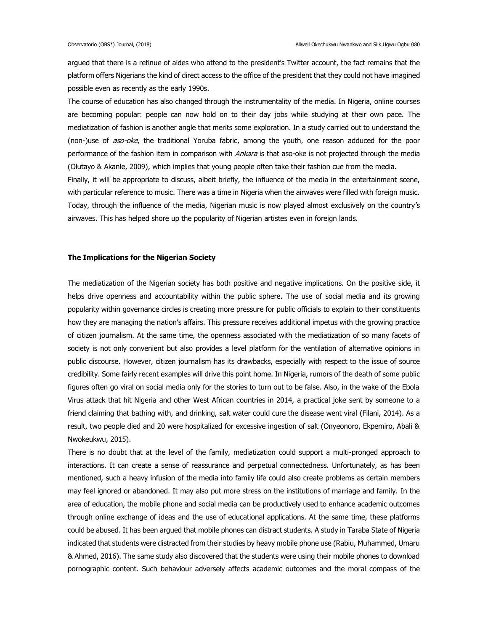argued that there is a retinue of aides who attend to the president's Twitter account, the fact remains that the platform offers Nigerians the kind of direct access to the office of the president that they could not have imagined possible even as recently as the early 1990s.

The course of education has also changed through the instrumentality of the media. In Nigeria, online courses are becoming popular: people can now hold on to their day jobs while studying at their own pace. The mediatization of fashion is another angle that merits some exploration. In a study carried out to understand the (non-)use of *aso-oke*, the traditional Yoruba fabric, among the youth, one reason adduced for the poor performance of the fashion item in comparison with Ankara is that aso-oke is not projected through the media (Olutayo & Akanle, 2009), which implies that young people often take their fashion cue from the media.

Finally, it will be appropriate to discuss, albeit briefly, the influence of the media in the entertainment scene, with particular reference to music. There was a time in Nigeria when the airwaves were filled with foreign music. Today, through the influence of the media, Nigerian music is now played almost exclusively on the country's airwaves. This has helped shore up the popularity of Nigerian artistes even in foreign lands.

### **The Implications for the Nigerian Society**

The mediatization of the Nigerian society has both positive and negative implications. On the positive side, it helps drive openness and accountability within the public sphere. The use of social media and its growing popularity within governance circles is creating more pressure for public officials to explain to their constituents how they are managing the nation's affairs. This pressure receives additional impetus with the growing practice of citizen journalism. At the same time, the openness associated with the mediatization of so many facets of society is not only convenient but also provides a level platform for the ventilation of alternative opinions in public discourse. However, citizen journalism has its drawbacks, especially with respect to the issue of source credibility. Some fairly recent examples will drive this point home. In Nigeria, rumors of the death of some public figures often go viral on social media only for the stories to turn out to be false. Also, in the wake of the Ebola Virus attack that hit Nigeria and other West African countries in 2014, a practical joke sent by someone to a friend claiming that bathing with, and drinking, salt water could cure the disease went viral (Filani, 2014). As a result, two people died and 20 were hospitalized for excessive ingestion of salt (Onyeonoro, Ekpemiro, Abali & Nwokeukwu, 2015).

There is no doubt that at the level of the family, mediatization could support a multi-pronged approach to interactions. It can create a sense of reassurance and perpetual connectedness. Unfortunately, as has been mentioned, such a heavy infusion of the media into family life could also create problems as certain members may feel ignored or abandoned. It may also put more stress on the institutions of marriage and family. In the area of education, the mobile phone and social media can be productively used to enhance academic outcomes through online exchange of ideas and the use of educational applications. At the same time, these platforms could be abused. It has been argued that mobile phones can distract students. A study in Taraba State of Nigeria indicated that students were distracted from their studies by heavy mobile phone use (Rabiu, Muhammed, Umaru & Ahmed, 2016). The same study also discovered that the students were using their mobile phones to download pornographic content. Such behaviour adversely affects academic outcomes and the moral compass of the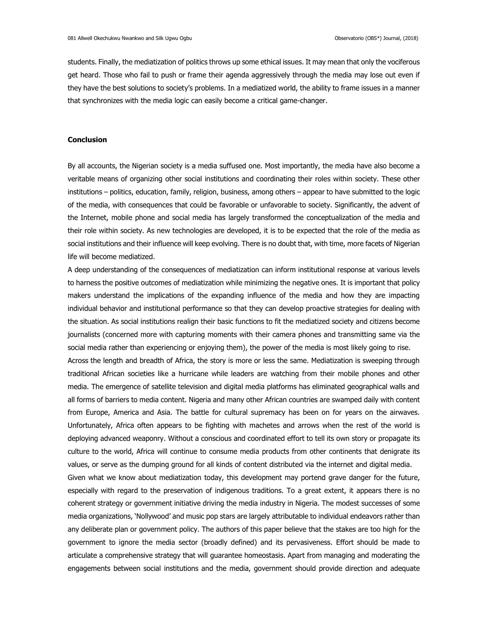students. Finally, the mediatization of politics throws up some ethical issues. It may mean that only the vociferous get heard. Those who fail to push or frame their agenda aggressively through the media may lose out even if they have the best solutions to society's problems. In a mediatized world, the ability to frame issues in a manner that synchronizes with the media logic can easily become a critical game-changer.

# **Conclusion**

By all accounts, the Nigerian society is a media suffused one. Most importantly, the media have also become a veritable means of organizing other social institutions and coordinating their roles within society. These other institutions – politics, education, family, religion, business, among others – appear to have submitted to the logic of the media, with consequences that could be favorable or unfavorable to society. Significantly, the advent of the Internet, mobile phone and social media has largely transformed the conceptualization of the media and their role within society. As new technologies are developed, it is to be expected that the role of the media as social institutions and their influence will keep evolving. There is no doubt that, with time, more facets of Nigerian life will become mediatized.

A deep understanding of the consequences of mediatization can inform institutional response at various levels to harness the positive outcomes of mediatization while minimizing the negative ones. It is important that policy makers understand the implications of the expanding influence of the media and how they are impacting individual behavior and institutional performance so that they can develop proactive strategies for dealing with the situation. As social institutions realign their basic functions to fit the mediatized society and citizens become journalists (concerned more with capturing moments with their camera phones and transmitting same via the social media rather than experiencing or enjoying them), the power of the media is most likely going to rise. Across the length and breadth of Africa, the story is more or less the same. Mediatization is sweeping through traditional African societies like a hurricane while leaders are watching from their mobile phones and other media. The emergence of satellite television and digital media platforms has eliminated geographical walls and all forms of barriers to media content. Nigeria and many other African countries are swamped daily with content from Europe, America and Asia. The battle for cultural supremacy has been on for years on the airwaves. Unfortunately, Africa often appears to be fighting with machetes and arrows when the rest of the world is deploying advanced weaponry. Without a conscious and coordinated effort to tell its own story or propagate its culture to the world, Africa will continue to consume media products from other continents that denigrate its values, or serve as the dumping ground for all kinds of content distributed via the internet and digital media. Given what we know about mediatization today, this development may portend grave danger for the future, especially with regard to the preservation of indigenous traditions. To a great extent, it appears there is no coherent strategy or government initiative driving the media industry in Nigeria. The modest successes of some media organizations, 'Nollywood' and music pop stars are largely attributable to individual endeavors rather than any deliberate plan or government policy. The authors of this paper believe that the stakes are too high for the government to ignore the media sector (broadly defined) and its pervasiveness. Effort should be made to articulate a comprehensive strategy that will guarantee homeostasis. Apart from managing and moderating the engagements between social institutions and the media, government should provide direction and adequate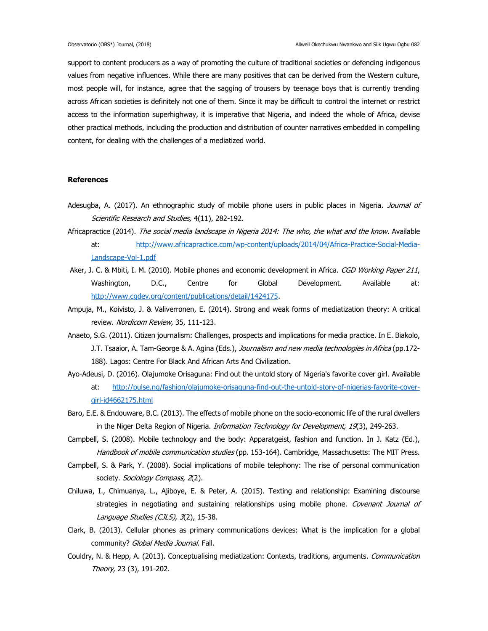support to content producers as a way of promoting the culture of traditional societies or defending indigenous values from negative influences. While there are many positives that can be derived from the Western culture, most people will, for instance, agree that the sagging of trousers by teenage boys that is currently trending across African societies is definitely not one of them. Since it may be difficult to control the internet or restrict access to the information superhighway, it is imperative that Nigeria, and indeed the whole of Africa, devise other practical methods, including the production and distribution of counter narratives embedded in compelling content, for dealing with the challenges of a mediatized world.

# **References**

- Adesugba, A. (2017). An ethnographic study of mobile phone users in public places in Nigeria. Journal of Scientific Research and Studies, 4(11), 282-192.
- Africapractice (2014). The social media landscape in Nigeria 2014: The who, the what and the know. Available at: [http://www.africapractice.com/wp-content/uploads/2014/04/Africa-Practice-Social-Media-](http://www.africapractice.com/wp-content/uploads/2014/04/Africa-Practice-Social-Media-Landscape-Vol-1.pdf)[Landscape-Vol-1.pdf](http://www.africapractice.com/wp-content/uploads/2014/04/Africa-Practice-Social-Media-Landscape-Vol-1.pdf)
- Aker, J. C. & Mbiti, I. M. (2010). Mobile phones and economic development in Africa. CGD Working Paper 211, Washington, D.C., Centre for Global Development. Available at: [http://www.cgdev.org/content/publications/detail/1424175.](http://www.cgdev.org/content/publications/detail/1424175)
- Ampuja, M., Koivisto, J. & Valiverronen, E. (2014). Strong and weak forms of mediatization theory: A critical review. Nordicom Review, 35, 111-123.
- Anaeto, S.G. (2011). Citizen journalism: Challenges, prospects and implications for media practice. In E. Biakolo, J.T. Tsaaior, A. Tam-George & A. Agina (Eds.), Journalism and new media technologies in Africa (pp.172-188). Lagos: Centre For Black And African Arts And Civilization.
- Ayo-Adeusi, D. (2016). Olajumoke Orisaguna: Find out the untold story of Nigeria's favorite cover girl. Available at: [http://pulse.ng/fashion/olajumoke-orisaguna-find-out-the-untold-story-of-nigerias-favorite-cover](http://pulse.ng/fashion/olajumoke-orisaguna-find-out-the-untold-story-of-nigerias-favorite-cover-girl-id4662175.html)[girl-id4662175.html](http://pulse.ng/fashion/olajumoke-orisaguna-find-out-the-untold-story-of-nigerias-favorite-cover-girl-id4662175.html)
- Baro, E.E. & Endouware, B.C. (2013). The effects of mobile phone on the socio-economic life of the rural dwellers in the Niger Delta Region of Nigeria. Information Technology for Development, 19(3), 249-263.
- Campbell, S. (2008). Mobile technology and the body: Apparatgeist, fashion and function. In J. Katz (Ed.), Handbook of mobile communication studies (pp. 153-164). Cambridge, Massachusetts: The MIT Press.
- Campbell, S. & Park, Y. (2008). Social implications of mobile telephony: The rise of personal communication society. Sociology Compass, 2(2).
- Chiluwa, I., Chimuanya, L., Ajiboye, E. & Peter, A. (2015). Texting and relationship: Examining discourse strategies in negotiating and sustaining relationships using mobile phone. Covenant Journal of Language Studies (CJLS), 3(2), 15-38.
- Clark, B. (2013). Cellular phones as primary communications devices: What is the implication for a global community? Global Media Journal. Fall.
- Couldry, N. & Hepp, A. (2013). Conceptualising mediatization: Contexts, traditions, arguments. Communication Theory, 23 (3), 191-202.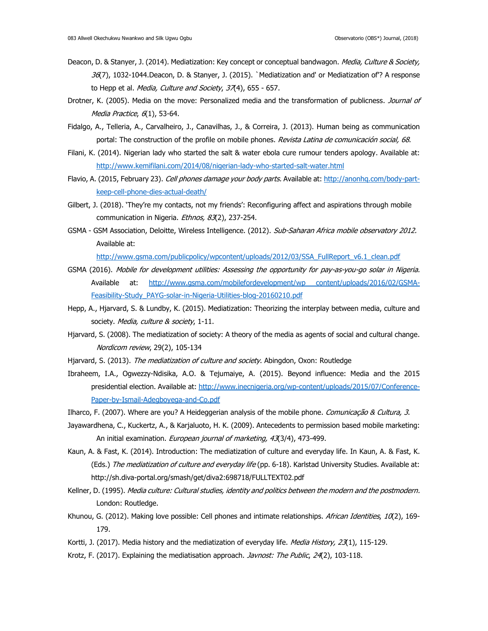- Deacon, D. & Stanyer, J. (2014). Mediatization: Key concept or conceptual bandwagon. Media, Culture & Society,  $36(7)$ , 1032-1044.Deacon, D. & Stanyer, J. (2015). `Mediatization and' or Mediatization of? A response to Hepp et al. Media, Culture and Society, 37(4), 655 - 657.
- Drotner, K. (2005). Media on the move: Personalized media and the transformation of publicness. Journal of Media Practice,  $6(1)$ , 53-64.
- Fidalgo, A., Telleria, A., Carvalheiro, J., Canavilhas, J., & Correira, J. (2013). Human being as communication portal: The construction of the profile on mobile phones. Revista Latina de comunicación social, 68.
- Filani, K. (2014). Nigerian lady who started the salt & water ebola cure rumour tenders apology. Available at: <http://www.kemifilani.com/2014/08/nigerian-lady-who-started-salt-water.html>
- Flavio, A. (2015, February 23). Cell phones damage your body parts. Available at[: http://anonhq.com/body-part](http://anonhq.com/body-part-keep-cell-phone-dies-actual-death/)[keep-cell-phone-dies-actual-death/](http://anonhq.com/body-part-keep-cell-phone-dies-actual-death/)
- Gilbert, J. (2018). 'They're my contacts, not my friends': Reconfiguring affect and aspirations through mobile communication in Nigeria. Ethnos, 83(2), 237-254.
- GSMA GSM Association, Deloitte, Wireless Intelligence. (2012). Sub-Saharan Africa mobile observatory 2012. Available at:

[http://www.gsma.com/publicpolicy/wpcontent/uploads/2012/03/SSA\\_FullReport\\_v6.1\\_clean.pdf](http://www.gsma.com/publicpolicy/wpcontent/uploads/2012/03/SSA_FullReport_v6.1_clean.pdf)

- GSMA (2016). Mobile for development utilities: Assessing the opportunity for pay-as-you-go solar in Nigeria. Available at: [http://www.gsma.com/mobilefordevelopment/wp content/uploads/2016/02/GSMA-](http://www.gsma.com/mobilefordevelopment/wp%20content/uploads/2016/02/GSMA-Feasibility-Study_PAYG-solar-in-Nigeria-Utilities-blog-20160210.pdf)[Feasibility-Study\\_PAYG-solar-in-Nigeria-Utilities-blog-20160210.pdf](http://www.gsma.com/mobilefordevelopment/wp%20content/uploads/2016/02/GSMA-Feasibility-Study_PAYG-solar-in-Nigeria-Utilities-blog-20160210.pdf)
- Hepp, A., Hjarvard, S. & Lundby, K. (2015). Mediatization: Theorizing the interplay between media, culture and society. Media, culture & society, 1-11.
- Hjarvard, S. (2008). The mediatization of society: A theory of the media as agents of social and cultural change. Nordicom review, 29(2), 105-134
- Hjarvard, S. (2013). The mediatization of culture and society. Abingdon, Oxon: Routledge
- Ibraheem, I.A., Ogwezzy-Ndisika, A.O. & Tejumaiye, A. (2015). Beyond influence: Media and the 2015 presidential election. Available at: [http://www.inecnigeria.org/wp-content/uploads/2015/07/Conference-](http://www.inecnigeria.org/wp-content/uploads/2015/07/Conference-Paper-by-Ismail-Adegboyega-and-Co.pdf)[Paper-by-Ismail-Adegboyega-and-Co.pdf](http://www.inecnigeria.org/wp-content/uploads/2015/07/Conference-Paper-by-Ismail-Adegboyega-and-Co.pdf)
- Ilharco, F. (2007). Where are you? A Heideggerian analysis of the mobile phone. Comunicação & Cultura, 3.
- Jayawardhena, C., Kuckertz, A., & Karjaluoto, H. K. (2009). Antecedents to permission based mobile marketing: An initial examination. European journal of marketing, 43(3/4), 473-499.
- Kaun, A. & Fast, K. (2014). Introduction: The mediatization of culture and everyday life. In Kaun, A. & Fast, K. (Eds.) The mediatization of culture and everyday life (pp. 6-18). Karlstad University Studies. Available at: <http://sh.diva-portal.org/smash/get/diva2:698718/FULLTEXT02.pdf>
- Kellner, D. (1995). Media culture: Cultural studies, identity and politics between the modern and the postmodern. London: Routledge.
- Khunou, G. (2012). Making love possible: Cell phones and intimate relationships. African Identities, 10(2), 169-179.
- Kortti, J. (2017). Media history and the mediatization of everyday life. Media History, 23(1), 115-129.
- Krotz, F. (2017). Explaining the mediatisation approach. *Javnost: The Public, 24*(2), 103-118.